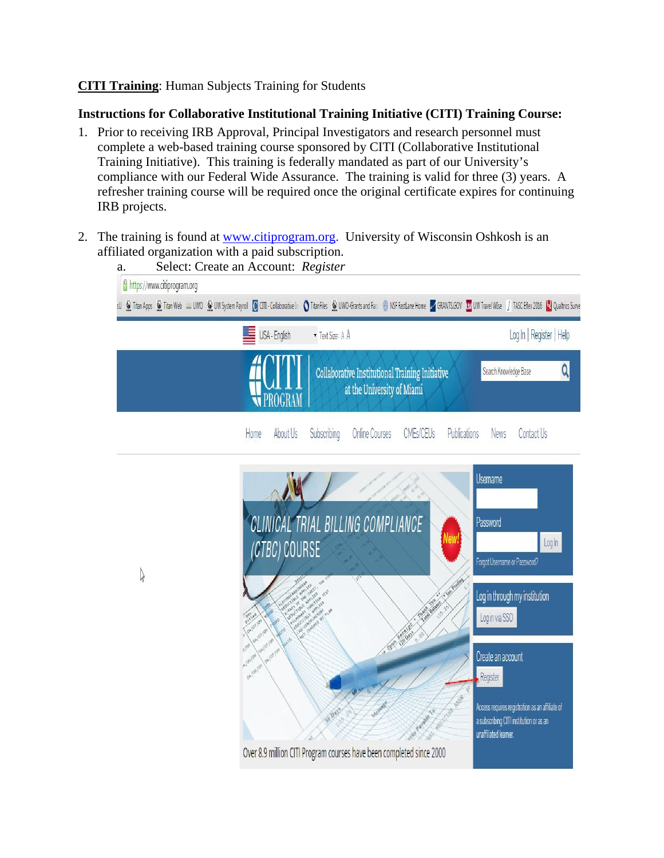## **CITI Training**: Human Subjects Training for Students

## **Instructions for Collaborative Institutional Training Initiative (CITI) Training Course:**

- 1. Prior to receiving IRB Approval, Principal Investigators and research personnel must complete a web-based training course sponsored by CITI (Collaborative Institutional Training Initiative). This training is federally mandated as part of our University's compliance with our Federal Wide Assurance. The training is valid for three (3) years. A refresher training course will be required once the original certificate expires for continuing IRB projects.
- 2. The training is found at <u>www.citiprogram.org</u>. University of Wisconsin Oshkosh is an affiliated organization with a paid subscription.

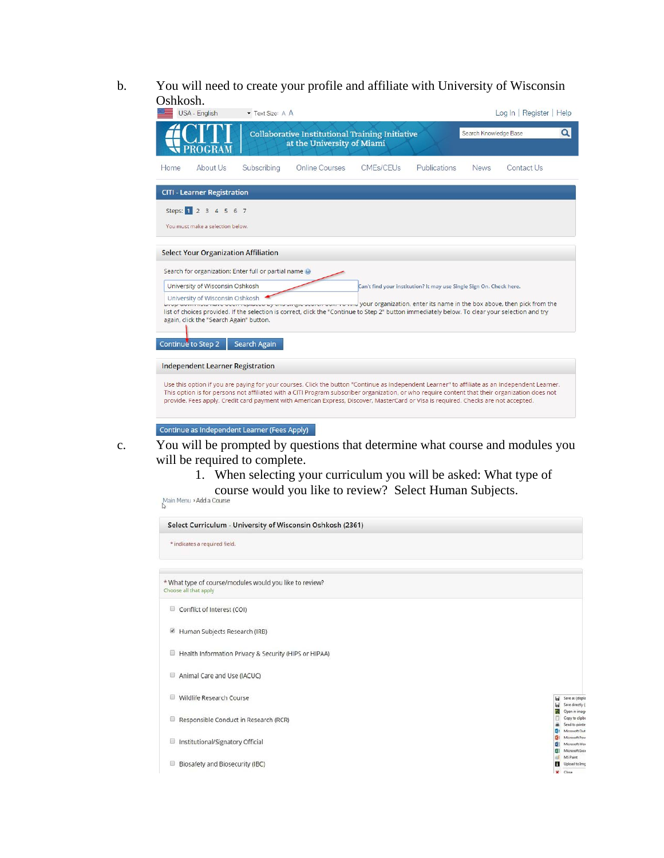b. You will need to create your profile and affiliate with University of Wisconsin Oshkosh.

| <b>USA - English</b>                                                                                                                                                                                                                                                                                                                                                                                                                                                                                                                                            | Text Size: A A |                                                                                      |           |                                                                     |                       | Log In   Register   Help |   |
|-----------------------------------------------------------------------------------------------------------------------------------------------------------------------------------------------------------------------------------------------------------------------------------------------------------------------------------------------------------------------------------------------------------------------------------------------------------------------------------------------------------------------------------------------------------------|----------------|--------------------------------------------------------------------------------------|-----------|---------------------------------------------------------------------|-----------------------|--------------------------|---|
| PROGRAM                                                                                                                                                                                                                                                                                                                                                                                                                                                                                                                                                         |                | <b>Collaborative Institutional Training Initiative</b><br>at the University of Miami |           |                                                                     | Search Knowledge Base |                          | Q |
| About Us<br>Home                                                                                                                                                                                                                                                                                                                                                                                                                                                                                                                                                | Subscribing    | Online Courses                                                                       | CMEs/CEUs | Publications                                                        | <b>News</b>           | Contact Us               |   |
| <b>CITI - Learner Registration</b>                                                                                                                                                                                                                                                                                                                                                                                                                                                                                                                              |                |                                                                                      |           |                                                                     |                       |                          |   |
| Steps: 1 2 3 4 5 6 7<br>You must make a selection below.                                                                                                                                                                                                                                                                                                                                                                                                                                                                                                        |                |                                                                                      |           |                                                                     |                       |                          |   |
| <b>Select Your Organization Affiliation</b><br>Search for organization: Enter full or partial name @<br>University of Wisconsin Oshkosh<br>University of Wisconsin Oshkosh<br>Live down note intervening the property of the surge of the search box, it will your organization, enter its name in the box above, then pick from the<br>list of choices provided. If the selection is correct, click the "Continue to Step 2" button immediately below. To clear your selection and try<br>again, click the "Search Again" button.<br><b>Continue to Step 2</b> | Search Again   |                                                                                      |           | Can't find your institution? It may use Single Sign On. Check here. |                       |                          |   |
| <b>Independent Learner Registration</b><br>Use this option if you are paying for your courses. Click the button "Continue as Independent Learner" to affiliate as an Independent Learner.<br>This option is for persons not affiliated with a CITI Program subscriber organization, or who require content that their organization does not<br>provide. Fees apply. Credit card payment with American Express, Discover, MasterCard or Visa is required. Checks are not accepted.                                                                               |                |                                                                                      |           |                                                                     |                       |                          |   |
| Continue as Independent Learner (Fees Apply)                                                                                                                                                                                                                                                                                                                                                                                                                                                                                                                    |                |                                                                                      |           |                                                                     |                       |                          |   |

- c. You will be prompted by questions that determine what course and modules you will be required to complete.
	- 1. When selecting your curriculum you will be asked: What type of course would you like to review? Select Human Subjects.

| * indicates a required field.                                                    |                                                                                 |
|----------------------------------------------------------------------------------|---------------------------------------------------------------------------------|
| * What type of course/modules would you like to review?<br>Choose all that apply |                                                                                 |
| Conflict of Interest (COI)<br>$\begin{array}{c} \hline \end{array}$              |                                                                                 |
| Human Subjects Research (IRB)                                                    |                                                                                 |
| ▣<br>Health Information Privacy & Security (HIPS or HIPAA)                       |                                                                                 |
| Animal Care and Use (IACUC)<br>▣                                                 |                                                                                 |
| Wildlife Research Course<br>⊟                                                    | ы<br>Save as (displa<br>ы<br>Save directly (                                    |
| Responsible Conduct in Research (RCR)<br>Θ                                       | Open in image<br>r.<br>Copy to clipbs<br>Send to printer<br>Microsoft Out<br>03 |
| Institutional/Signatory Official<br>⊟                                            | Microsoft Pow<br>-3<br>Microsoft Wor<br><b>Ell</b> Microsoft Exce               |
| Biosafety and Biosecurity (IBC)<br>o                                             | MS Paint<br>п<br>Upload to Img<br>$\mathbf{x}$<br>Close                         |